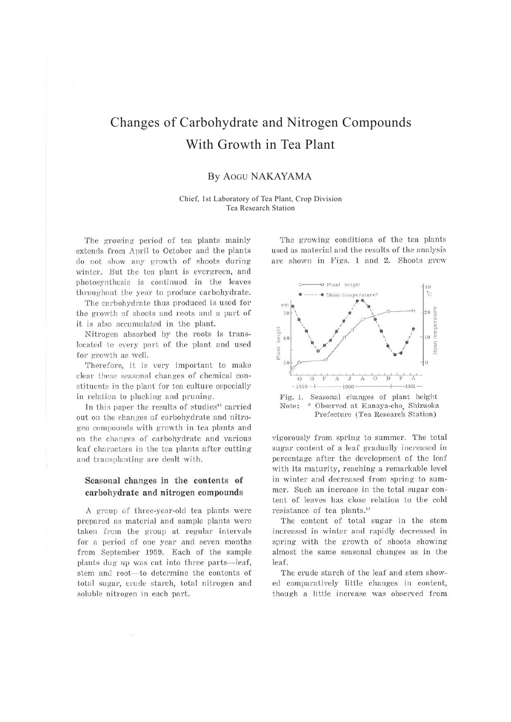# Changes of Carbohydrate and Nitrogen Compounds With Growth in Tea Plant

## By AOGU NAKAYAMA

#### Chief, 1st Laboratory of Tea Plant, Crop Division Tea Research Station

The growing period of tea plants mainly extends from April to October and the plants do not show any growth of shoots during winter. But the tea plant is evergreen, and photosynthesis is continued in the leaves throughout the year to produce carbohydrate.

The carbohydrate thus produced is used for t he growth of shoots and roots and a part of it is also accumulated in the plant.

Nitrogen absorbed by the roots is translocated to every part of the plant and used for growth as well.

Therefore, it is very important to make clear these seasonal changes of chemical constituents in the plant for tea culture especially in relation to plucking and pruning.

In this paper the results of studies<sup>1</sup> carried out on the rhanges of carbohydrate and nitrogen compounds with growth in tea plants and on the changes of carbohydrate and various leaf characters in the tea plants after cutting and transplanting are dealt with.

## **Seasonal changes in the contents of cal'bohydrate and nitrogen compounds**

A group of three-year-old tea plants were prepared as material and sample plants were taken from the group at regular intervals for a period of one year and seven months from September 1959. Each of the sample plants dug up was cut into three parts-leaf, stem and root-to determine the contents of total sugar, crude starch, total nitrogen and soluble nitrogen in each part.

The growing conditions of the tea plants used as material and the results of the analysis are shown in Figs. 1 and 2. Shoots grew



Fig. 1. Seasonal changes of plant height Note: \* Observed at Kanaya-cho, Shizuoka Prefecture (Tea Research Station)

vigorously from spring to summer. The total sugar content of a leaf gradually increased in percentage after the development of the leaf with its maturity, reaching a remarkable level in winter and decreased from spring to summer. Such an increase in the total sugar content of leaves has close relation to the cold resistance of tea plants.<sup>1)</sup>

The content of total sugar in the stem increased in winter and rapidly decreased in spring with the growth of shoots showing almost the same seasonal changes as in the leaf.

The crude starch of the leaf and stem showed comparatively little changes in content, though a little increase was observed from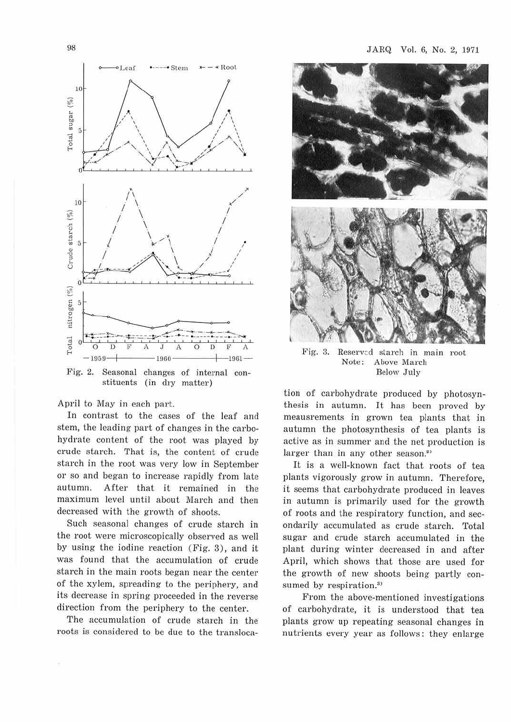

Fig. 2. Seasonal changes of intemal constituents (in dry matter)

April to May in each part.

In contrast to the cases of the leaf and stem, the leading part of changes in the carbohydrate content of the root was played by crude starch. That is, the content of crude starch in the root was very low in September or so and began to increase rapidly from late autumn. After that it remained in the maximum level until about March and then decreased with the growth of shoots.

Such seasonal changes of crude starch in the root were microscopically observed as well by using the iodine reaction (Fig. 3), and it was found that the accumulation of crude starch in the main roots began near the center of the xylem, spreading to the periphery, and its decrease in spring proceeded in the reverse direction from the periphery to the center.

The accumulation of crude starch in the roots is considered to be due to the transloca-



Fig. 3. Reserved starch in main root<br>Note: Above March Above March Below .July

tion of carbohydrate produced by photosynthesis in autumn. It has been proved by meausrements in grown tea plants that in autumn the photosynthesis of tea plants is active as in summer and the net production is larger than in any other season.<sup>2)</sup>

It is a well-known fact that roots of tea plants vigorously grow in autumn. Therefore, it seems that carbohydrate produced in leaves in autumn is primarily used for the growth of roots and the respiratory function, and secondarily accumulated as crude starch. Total sugar and crude starch accumulated in the plant during winter decreased in and after April, which shows that those are used for the growth of new shoots being partly consumed by respiration.<sup>3)</sup>

From the above-mentioned investigations of carbohydrate, it is understood that tea plants grow up repeating seasonal changes in nutrients every year as follows: they enlarge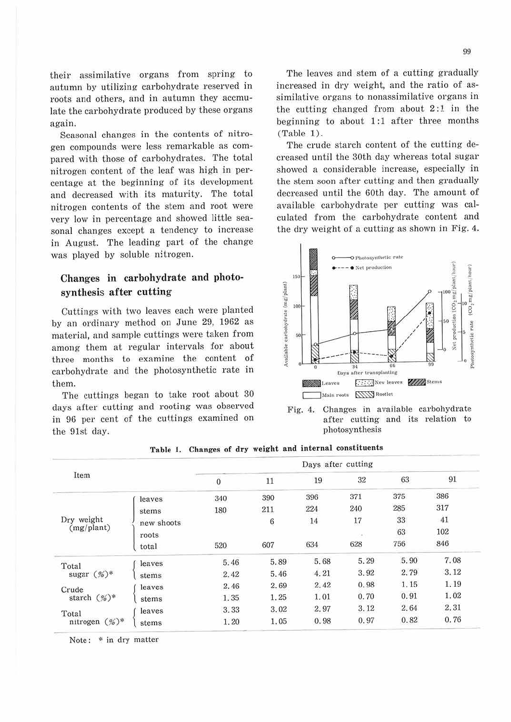their assimilative organs from spring to autumn by utilizing carbohydrate reserved in roots and others, and in autumn they accmulate the carbohydrate produced by these organs again.

Seasonal changes in the contents of nitrogen compounds were less remarkable as compared with those of carbohydrates. The total nitrogen content of the leaf was high in percentage at the beginning of its development and decreased with its maturity. The total nitrogen contents of the stem and root were very low in percentage and showed little seasonal changes except a tendency to increase in August. The leading part of the change was played by soluble nitrogen.

## **Changes in carbohydrate and photosynthesis after cutting**

Cuttings with two leaves each were planted by an ordinary method on June 29, 1962 as material, and sample cuttings were taken from among them at regular intervals for about three months to examine the content of carbohydrate and the photosynthetic rate in them.

The cuttings began to take root about 30 days after cutting and rooting was observed in 96 per cent of the cuttings examined on the 91st day.

The leaves and stem of a cutting gradually increased in dry weight, and the ratio of assimilative organs to nonassimilative organs in the cutting changed from about 2 :1 in the beginning to about 1:1 after three months (Table 1).

The crude starch content of the cutting decreased until the 30th day whereas total sugar showed a considerable increase, especially in the stem soon after cutting and then gradually decreased until the 60th day. The amount of available carbohydrate per cutting was calculated from the carbohydrate content and the dry weight of a cutting as shown in Fig. 4.



Fig. 4. Changes in available carbohydrate after cutting and its relation to photosynthesis

|                           |            | Days after cutting |      |      |      |      |      |  |  |
|---------------------------|------------|--------------------|------|------|------|------|------|--|--|
| Item                      |            | $\bf{0}$           | 11   | 19   | 32   | 63   | 91   |  |  |
| Dry weight<br>(mg/plant)  | leaves     | 340                | 390  | 396  | 371  | 375  | 386  |  |  |
|                           | stems      | 180                | 211  | 224  | 240  | 285  | 317  |  |  |
|                           | new shoots |                    | 6    | 14   | 17   | 33   | 41   |  |  |
|                           | roots      |                    |      |      | 10   | 63   | 102  |  |  |
|                           | total      | 520                | 607  | 634  | 628  | 756  | 846  |  |  |
| Total<br>sugar $(\%)^*$   | leaves     | 5.46               | 5.89 | 5.68 | 5.29 | 5.90 | 7.08 |  |  |
|                           | stems      | 2.42               | 5.46 | 4.21 | 3.92 | 2.79 | 3.12 |  |  |
| Crude<br>starch $(\%)^*$  | leaves     | 2.46               | 2.69 | 2.42 | 0.98 | 1.15 | 1.19 |  |  |
|                           | stems      | 1.35               | 1.25 | 1.01 | 0.70 | 0.91 | 1.02 |  |  |
| Total<br>nitrogen $(%)^*$ | leaves     | 3.33               | 3.02 | 2.97 | 3.12 | 2.64 | 2.31 |  |  |
|                           | stems      | 1.20               | 1.05 | 0.98 | 0.97 | 0.82 | 0.76 |  |  |

**Table** 1. **Changes of dry weight and internal constituents** 

Note: \* in dry matter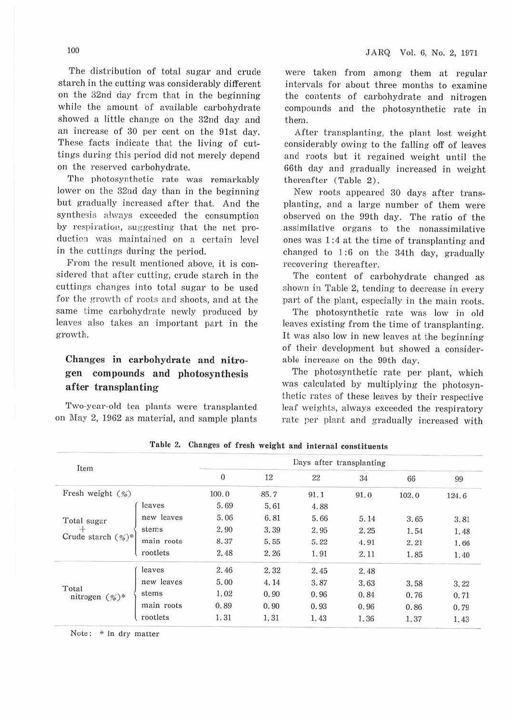The distribution of total sugar and crude starch in the cutting was considerably different on the 32nd day frcm that in the beginning while the amount of available carbohydrate showed a little change on the 32nd day and an increase of 30 per cent on the 91st day. These facts indicate that the living of cuttings during this period did not merely depend on the reserved carbohydrate.

The photosynthetic rate was remarkably lower on the 32nd day than in the beginning but gradually increased after that. And the synthesis always exceeded the consumption by respiration, suggesting that the net productiou was maintained on a certain level in the cuttings during the period.

From the result mentioned above, it is considered that after cutting, crude starch in the cuttings changes into total sugar to be used for the growth of roots and shoots, and at the same time carbohydrate newly produced by leaves also takes an important part in the growth.

# Changes in carbohydrate and nitro**gen compounds and photosynthesis after transplanting**

Two-year-old tea plants were transplanted on May 2, 1962 as material, and sample plants were taken from among them at regular intervals for about three months to examine the contents of carbohydrate and nitrogen compounds and the photosynthetic rate in them.

After transplanting, the plant lost weight considerably owing to the falling off of leaves and roots but it regained weight until the 66th day and gradually increased in weight thereafter (Table 2).

New roots appeared 30 days after transplanting, and a large number of them were observed on the 99th day. The ratio of the assimilative organs to the nonassimilative ones was 1 :4 at the time of transplanting and changed to 1:6 on the 34th day, gradually recovering thereafter.

The content of carbohydrate changed as shown in Table 2, tending to decrease in every part of the plant, especially in the main roots.

The photosynthetic rate was low in old leaves existing from the time of transplanting. It was also low in new leaves at the beginning of their development but showed a considerable increase on the 99th day.

The photosynthetic rate per plant, which was calculated by multiplying the photosynthetic rates of these leaves by their respective leaf weights, always exceeded the respiratory rate per plant and gradually increased with

| Item                                     |            | Days after transplanting |      |      |      |       |       |  |  |
|------------------------------------------|------------|--------------------------|------|------|------|-------|-------|--|--|
|                                          |            | $\overline{0}$           | 12   | 22   | 34   | 66    | 99    |  |  |
| Fresh weight $(\%)$                      |            | 100.0                    | 85.7 | 91.1 | 91.0 | 102.0 | 124.6 |  |  |
| Total sugar<br>+<br>Crude starch $(%)^*$ | leaves     | 5.69                     | 5.61 | 4.88 |      |       |       |  |  |
|                                          | new leaves | 5.06                     | 6.81 | 5.66 | 5.14 | 3.65  | 3.81  |  |  |
|                                          | stems      | 2.90                     | 3.39 | 2.95 | 2.25 | 1.54  | 1.48  |  |  |
|                                          | main roots | 8.37                     | 5.55 | 5.22 | 4.91 | 2.21  | 1.66  |  |  |
|                                          | rootlets   | 2.48                     | 2.26 | 1.91 | 2.11 | 1.85  | 1.40  |  |  |
| Total<br>nitrogen $(\%)^*$               | leaves     | 2.46                     | 2.32 | 2.45 | 2.48 |       |       |  |  |
|                                          | new leaves | 5.00                     | 4.14 | 3.87 | 3.63 | 3.58  | 3.22  |  |  |
|                                          | stems      | 1.02                     | 0.90 | 0.96 | 0.84 | 0.76  | 0.71  |  |  |
|                                          | main roots | 0.89                     | 0.90 | 0.93 | 0.96 | 0.86  | 0.79  |  |  |
|                                          | rootlets   | 1.31                     | 1.31 | 1.43 | 1.36 | 1.37  | 1.43  |  |  |

**'fable 2. Changes of fresh weight and internal constituents** 

Note: \* in dry matter